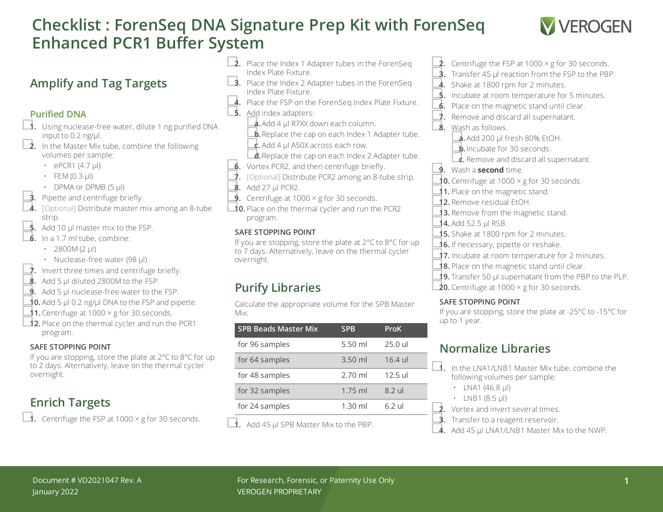# **Checklist : ForenSeq DNA Signature Prep Kit with ForenSeq Enhanced PCR1 Buffer System**



## **Amplify and Tag Targets**

#### **Purified DNA**

- □**1.** Using nuclease-free water, dilute <sup>1</sup> ng purified DNA input to 0.2 ng/ $\mu$ l.<br> **2.** In the Master Mix tube, combine the following
	- volumes per sample:
		- $\cdot$  ePCR1 (4.7 µl)
		- $\cdot$  FEM (0.3 µl)
		-
	-
- DPMA or DPMB (5 µl)<br> **3.** Pipette and centrifuge briefly.<br> **4.** [Optional] Distribute master mix among an 8-tube strip.<br>**5.** Add 10 µl master mix to the FSP.
- 
- **6.** In a 1.7 ml tube, combine:
	- 2800M (2  $\mu$ l)
	-
- Nuclease-free water (98 µl)<br>■**7.** Invert three times and centrifuge briefly.<br>■**8.** Add 5 µl diluted 2800M to the FSP.
- 
- **9.** Add 5 µl nuclease-free water to the FSP.
- **■10.** Add 5 µl 0.2 ng/µl DNA to the FSP and pipette.<br>■1. Centrifuge at 1000 × g for 30 seconds.
- 
- **12.** Place on the thermal cycler and run the PCR1 program.

#### **SAFE STOPPING POINT**

If you are stopping, store the plate at 2°C to 8°C for up to 2 days. Alternatively, leave on the thermal cycler overnight.

## **Enrich Targets**

□**1.** Centrifuge the FSP at <sup>1000</sup> <sup>×</sup> <sup>g</sup> for <sup>30</sup> seconds.

- **□2.** Place the Index 1 Adapter tubes in the ForenSeq Index Plate Fixture.
- **3.** Place the Index 2 Adapter tubes in the ForenSeq Index Plate Fixture.
- 4. Place the FSP on the ForenSeq Index Plate Fixture.
- 
- □**5.** Add index adapters: □**a.**Add <sup>4</sup> µl R7XX down each column.
	- **b.** Replace the cap on each Index 1 Adapter tube. **c.** Add 4 µl A50X across each row.
	- **d.** Replace the cap on each Index 2 Adapter tube.
- 
- ■**6.** Vortex PCR2, and then centrifuge briefly.<br>■ [Optional] Distribute PCR2 among an 8-tube strip.<br>■ **8.** Add 27 µl PCR2. ■<br>■ Centrifuge at 1000 × g for 30 seconds.
- 
- 
- □**10.** Place on the thermal cycler and run the PCR2 program.

#### **SAFE STOPPING POINT**

If you are stopping, store the plate at 2°C to 8°C for up to 7 days. Alternatively, leave on the thermal cycler overnight.

## **Purify Libraries**

Calculate the appropriate volume for the SPB Master Mix:

| <b>SPB Beads Master Mix</b> | <b>SPB</b> | ProK      |
|-----------------------------|------------|-----------|
| for 96 samples              | $5.50$ ml  | $25.0$ ul |
| for 64 samples              | $3.50$ ml  | $16.4$ ul |
| for 48 samples              | $2.70$ ml  | $12.5$ ul |
| for 32 samples              | $1.75$ ml  | 8.2 ul    |
| for 24 samples              | $1.30$ ml  | $6.2$ ul  |
|                             |            |           |

□**1.** Add <sup>45</sup> µl SPB Master Mix to the PBP.

- **2.** Centrifuge the FSP at 1000  $\times$  g for 30 seconds. **3.** Transfer 45 µl reaction from the FSP to the PBP. 4. Shake at 1800 rpm for 2 minutes. **5.** Incubate at room temperature for 5 minutes. **6.** Place on the magnetic stand until clear. □**7.** Remove and discard all supernatant. □**8.** Wash as follows. **a.** Add 200 µl fresh 80% EtOH. □**b.**Incubate for <sup>30</sup> seconds. □**c.** Remove and discard all supernatant. □**9.** Wash <sup>a</sup> **second** time. **10.** Centrifuge at  $1000 \times g$  for 30 seconds. **11.** Place on the magnetic stand. □**12.** Remove residual EtOH. 13. Remove from the magnetic stand. **14.** Add 52.5 µl RSB.<br>**15.** Shake at 1800 rpm for 2 minutes. 16. If necessary, pipette or reshake.
- 17. Incubate at room temperature for 2 minutes.
- 18. Place on the magnetic stand until clear.
- □**19.** Transfer <sup>50</sup> µl supernatant from the PBP to the PLP.
- **20.** Centrifuge at  $1000 \times g$  for 30 seconds.

#### **SAFE STOPPING POINT**

If you are stopping, store the plate at -25°C to -15°C for up to 1 year.

## **Normalize Libraries**

- □**1.** In the LNA1/LNB1 Master Mix tube, combine the following volumes per sample:
	- LNA1 (46.8  $\mu$ I)
	-
- LNB1 (8.5  $\mu$ I)<br> **2.** Vortex and invert several times.
- **3.** Transfer to a reagent reservoir.
- 4. Add 45 µl LNA1/LNB1 Master Mix to the NWP.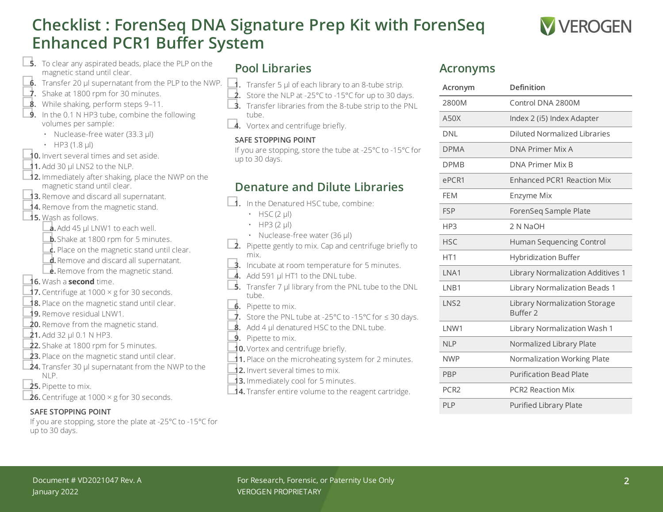# **Checklist : ForenSeq DNA Signature Prep Kit with ForenSeq Enhanced PCR1 Buffer System**



**□5.** To clear any aspirated beads, place the PLP on the magnetic stand until clear.

- □**6.** Transfer <sup>20</sup> µl supernatant from the PLP to the NWP.
- <span id="page-1-0"></span> $\dot{\mathbf{J}}$ . Shake at 1800 rpm for 30 minutes.
- ■<br>■ While shaking, perform steps 9-[11.](#page-1-1)<br>■ In the 0.1 N HP3 tube, combine the following
- volumes per sample:
	- Nuclease-free water (33.3 µl)
	-
- $\frac{1}{10}$  **b** HP3 (1.8 µl) **10.** Invert several times and set aside.
- <span id="page-1-1"></span> $\triangle$ **1.** Add 30  $\mu$ I LNS2 to the NLP.
- **□12.** Immediately after shaking, place the NWP on the magnetic stand until clear.
- ■**13.** Remove and discard all supernatant.<br>■ 14. Remove from the magnetic stand.
- 
- □**15.** Wash as follows.
	- □**a.**Add <sup>45</sup> µl LNW1 to each well.
	- **b.** Shake at 1800 rpm for 5 minutes.
	- **c.** Place on the magnetic stand until clear.
	- ■**d.** Remove and discard all supernatant.<br>■ **e.** Remove from the magnetic stand.
	-
- □**16.** Wash <sup>a</sup> **second** time.
- **17.** Centrifuge at 1000  $\times$  g for 30 seconds.
- □**18.** Place on the magnetic stand until clear.
- 
- **19.** Remove residual LNW1.<br>**20.** Remove from the magnetic stand.
- 
- **21.** Add 32 µl 0.1 N HP3.<br>**22.** Shake at 1800 rpm for 5 minutes.
- **23.** Place on the magnetic stand until clear.
- **24.** Transfer 30 µl supernatant from the NWP to the NLP.
- □**25.** Pipette to mix.
- **□26.** Centrifuge at 1000 × g for 30 seconds.

#### **SAFE STOPPING POINT**

If you are stopping, store the plate at -25°C to -15°C for up to 30 days.

## **Pool Libraries**

- □**1.** Transfer <sup>5</sup> µl of each library to an 8-tube strip. □**2.** Store the NLP at -25°C to -15°C for up to <sup>30</sup> days. □**3.** Transfer libraries from the 8-tube strip to the PNL
	-
	- tube.
	-
- 4. Vortex and centrifuge briefly.

#### **SAFE STOPPING POINT**

If you are stopping, store the tube at -25°C to -15°C for up to 30 days.

## **Denature and Dilute Libraries**

□**1.** In the Denatured HSC tube, combine:

- $\cdot$  HSC (2 µl)
- $\cdot$  HP3 (2 µl)
- 
- Nuclease-free water (36 µl)<br>**2.** Pipette gently to mix. Cap and centrifuge briefly to mix.
- **3.** Incubate at room temperature for 5 minutes.
- $\overline{4}$ . Add 591 µl HT1 to the DNL tube.
- **5.** Transfer 7 µl library from the PNL tube to the DNL tube.
- □**6.** Pipette to mix.
- 7. Store the PNL tube at -25°C to -15°C for ≤ 30 days.<br>■ **8.** Add 4 µl denatured HSC to the DNL tube.
- 
- □**9.** Pipette to mix.
- 
- **10.** Vortex and centrifuge briefly.<br>■**1.** Place on the microheating system for 2 minutes.
- □**12.** Invert several times to mix.
- 13. Immediately cool for 5 minutes.
- □**14.** Transfer entire volume to the reagent cartridge.

#### **Acronyms**

| Acronym          | Definition                                           |
|------------------|------------------------------------------------------|
| 2800M            | Control DNA 2800M                                    |
| A50X             | Index 2 (i5) Index Adapter                           |
| <b>DNI</b>       | Diluted Normalized Libraries                         |
| <b>DPMA</b>      | DNA Primer Mix A                                     |
| <b>DPMB</b>      | <b>DNA Primer Mix B</b>                              |
| ePCR1            | <b>Enhanced PCR1 Reaction Mix</b>                    |
| <b>FEM</b>       | Enzyme Mix                                           |
| <b>FSP</b>       | ForenSeq Sample Plate                                |
| HP3              | 2 N NaOH                                             |
| <b>HSC</b>       | Human Sequencing Control                             |
| HT <sub>1</sub>  | <b>Hybridization Buffer</b>                          |
| INA1             | Library Normalization Additives 1                    |
| LNB1             | Library Normalization Beads 1                        |
| LNS <sub>2</sub> | Library Normalization Storage<br>Buffer <sub>2</sub> |
| I NW1            | Library Normalization Wash 1                         |
| <b>NLP</b>       | Normalized Library Plate                             |
| <b>NWP</b>       | Normalization Working Plate                          |
| <b>PBP</b>       | <b>Purification Bead Plate</b>                       |
| PC <sub>R2</sub> | <b>PCR2 Reaction Mix</b>                             |
| PLP              | <b>Purified Library Plate</b>                        |